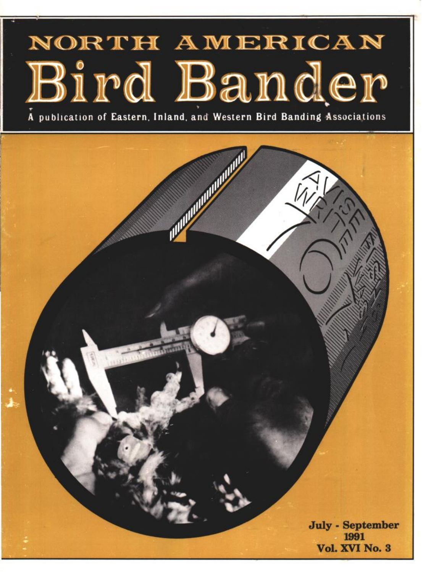# NORTH AMERICAN Bird Bander

A publication of Eastern, Inland, and Western Bird Banding Associations

**CONTRACTORY AND ALLES** 

**July - September** 1991 Vol. XVI No. 3